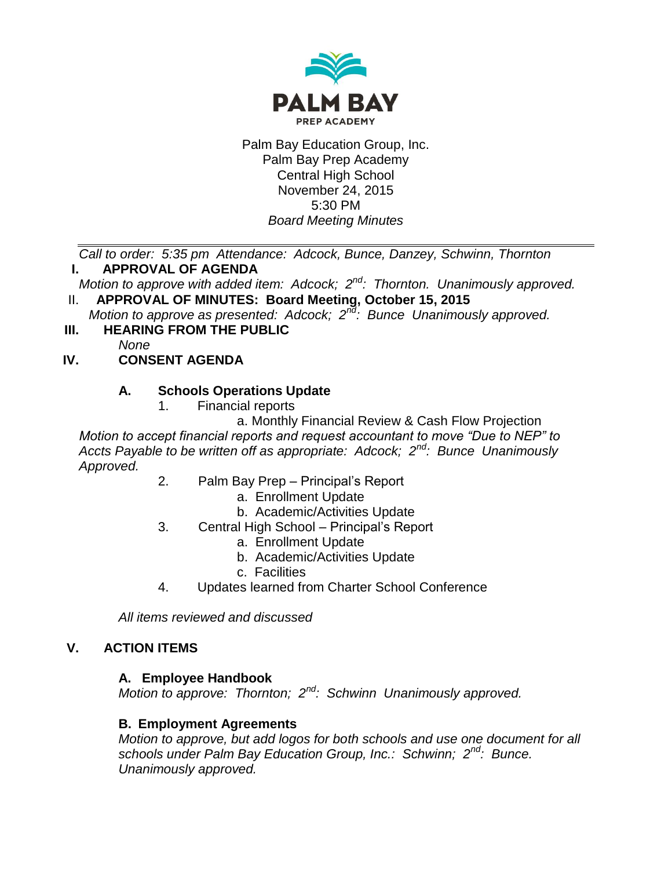

Palm Bay Education Group, Inc. Palm Bay Prep Academy Central High School November 24, 2015 5:30 PM *Board Meeting Minutes*

*Call to order: 5:35 pm Attendance: Adcock, Bunce, Danzey, Schwinn, Thornton* **I. APPROVAL OF AGENDA**

- *Motion to approve with added item: Adcock; 2nd: Thornton. Unanimously approved.*
- II. **APPROVAL OF MINUTES: Board Meeting, October 15, 2015** *Motion to approve as presented: Adcock; 2nd: Bunce Unanimously approved.*
- **III. HEARING FROM THE PUBLIC**

*None*

# **IV. CONSENT AGENDA**

# **A. Schools Operations Update**

1. Financial reports

a. Monthly Financial Review & Cash Flow Projection *Motion to accept financial reports and request accountant to move "Due to NEP" to Accts Payable to be written off as appropriate: Adcock; 2nd: Bunce Unanimously Approved.*

- 2. Palm Bay Prep Principal's Report
	- a. Enrollment Update
	- b. Academic/Activities Update
- 3. Central High School Principal's Report
	- a. Enrollment Update
	- b. Academic/Activities Update
	- c. Facilities
- 4. Updates learned from Charter School Conference

*All items reviewed and discussed*

### **V. ACTION ITEMS**

### **A. Employee Handbook**

*Motion to approve: Thornton; 2nd: Schwinn Unanimously approved.*

# **B. Employment Agreements**

*Motion to approve, but add logos for both schools and use one document for all schools under Palm Bay Education Group, Inc.: Schwinn; 2nd: Bunce. Unanimously approved.*